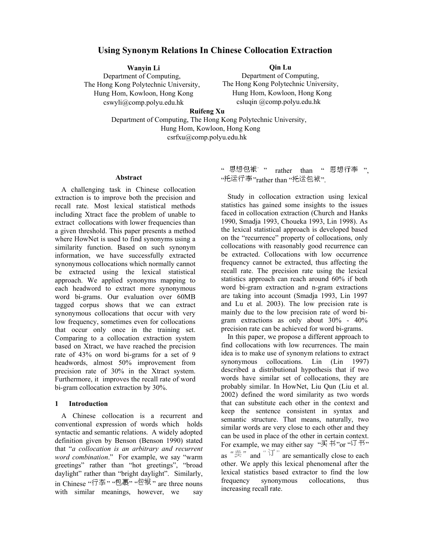# **Using Synonym Relations In Chinese Collocation Extraction**

**Wanyin Li**  Department of Computing, The Hong Kong Polytechnic University, Hung Hom, Kowloon, Hong Kong cswyli@comp.polyu.edu.hk

**Qin Lu**  Department of Computing, The Hong Kong Polytechnic University, Hung Hom, Kowloon, Hong Kong csluqin @comp.polyu.edu.hk

**Ruifeng Xu** 

Department of Computing, The Hong Kong Polytechnic University, Hung Hom, Kowloon, Hong Kong csrfxu@comp.polyu.edu.hk

#### **Abstract**

A challenging task in Chinese collocation extraction is to improve both the precision and recall rate. Most lexical statistical methods including Xtract face the problem of unable to extract collocations with lower frequencies than a given threshold. This paper presents a method where HowNet is used to find synonyms using a similarity function. Based on such synonym information, we have successfully extracted synonymous collocations which normally cannot be extracted using the lexical statistical approach. We applied synonyms mapping to each headword to extract more synonymous word bi-grams. Our evaluation over 60MB tagged corpus shows that we can extract synonymous collocations that occur with very low frequency, sometimes even for collocations that occur only once in the training set. Comparing to a collocation extraction system based on Xtract, we have reached the precision rate of 43% on word bi-grams for a set of 9 headwords, almost 50% improvement from precision rate of 30% in the Xtract system. Furthermore, it improves the recall rate of word bi-gram collocation extraction by 30%.

#### **1 Introduction**

A Chinese collocation is a recurrent and conventional expression of words which holds syntactic and semantic relations. A widely adopted definition given by Benson (Benson 1990) stated that "*a collocation is an arbitrary and recurrent word combination*." For example, we say "warm greetings" rather than "hot greetings", "broad daylight" rather than "bright daylight". Similarly, in Chinese "行李" "包裹" "包袱" are three nouns with similar meanings, however, we say

" 思想包袱 " rather than " 思想行李 ", "托运行李"<sub>rather than</sub> "托运包袱"

Study in collocation extraction using lexical statistics has gained some insights to the issues faced in collocation extraction (Church and Hanks 1990, Smadja 1993, Choueka 1993, Lin 1998). As the lexical statistical approach is developed based on the "recurrence" property of collocations, only collocations with reasonably good recurrence can be extracted. Collocations with low occurrence frequency cannot be extracted, thus affecting the recall rate. The precision rate using the lexical statistics approach can reach around 60% if both word bi-gram extraction and n-gram extractions are taking into account (Smadja 1993, Lin 1997 and Lu et al. 2003). The low precision rate is mainly due to the low precision rate of word bigram extractions as only about 30% - 40% precision rate can be achieved for word bi-grams.

In this paper, we propose a different approach to find collocations with low recurrences. The main idea is to make use of synonym relations to extract synonymous collocations. Lin (Lin 1997) described a distributional hypothesis that if two words have similar set of collocations, they are probably similar. In HowNet, Liu Qun (Liu et al. 2002) defined the word similarity as two words that can substitute each other in the context and keep the sentence consistent in syntax and semantic structure. That means, naturally, two similar words are very close to each other and they can be used in place of the other in certain context. For example, we may either say " $\mathbb{R}$   $\mathbb{H}$ " or " $\mathbb{H}$ " as " $\stackrel{...}{\Rightarrow}$  " and " $\stackrel{...}{\downarrow}$ " are semantically close to each other. We apply this lexical phenomenal after the lexical statistics based extractor to find the low frequency synonymous collocations, thus increasing recall rate.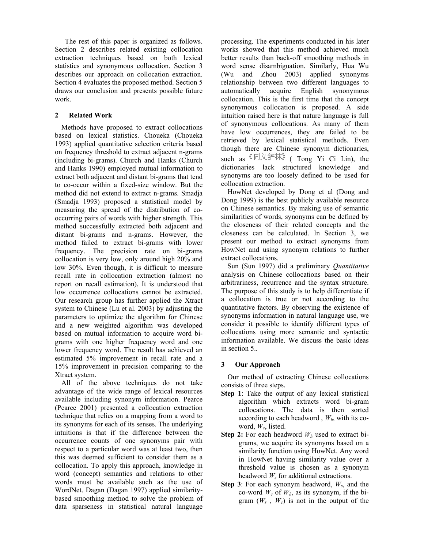The rest of this paper is organized as follows. Section 2 describes related existing collocation extraction techniques based on both lexical statistics and synonymous collocation. Section 3 describes our approach on collocation extraction. Section 4 evaluates the proposed method. Section 5 draws our conclusion and presents possible future work.

# **2 Related Work**

Methods have proposed to extract collocations based on lexical statistics. Choueka (Choueka 1993) applied quantitative selection criteria based on frequency threshold to extract adjacent n-grams (including bi-grams). Church and Hanks (Church and Hanks 1990) employed mutual information to extract both adjacent and distant bi-grams that tend to co-occur within a fixed-size window. But the method did not extend to extract n-grams. Smadja (Smadja 1993) proposed a statistical model by measuring the spread of the distribution of cooccurring pairs of words with higher strength. This method successfully extracted both adjacent and distant bi-grams and n-grams. However, the method failed to extract bi-grams with lower frequency. The precision rate on bi-grams collocation is very low, only around high 20% and low 30%. Even though, it is difficult to measure recall rate in collocation extraction (almost no report on recall estimation), It is understood that low occurrence collocations cannot be extracted. Our research group has further applied the Xtract system to Chinese (Lu et al. 2003) by adjusting the parameters to optimize the algorithm for Chinese and a new weighted algorithm was developed based on mutual information to acquire word bigrams with one higher frequency word and one lower frequency word. The result has achieved an estimated 5% improvement in recall rate and a 15% improvement in precision comparing to the Xtract system.

All of the above techniques do not take advantage of the wide range of lexical resources available including synonym information. Pearce (Pearce 2001) presented a collocation extraction technique that relies on a mapping from a word to its synonyms for each of its senses. The underlying intuitions is that if the difference between the occurrence counts of one synonyms pair with respect to a particular word was at least two, then this was deemed sufficient to consider them as a collocation. To apply this approach, knowledge in word (concept) semantics and relations to other words must be available such as the use of WordNet. Dagan (Dagan 1997) applied similaritybased smoothing method to solve the problem of data sparseness in statistical natural language

processing. The experiments conducted in his later works showed that this method achieved much better results than back-off smoothing methods in word sense disambiguation. Similarly, Hua Wu (Wu and Zhou 2003) applied synonyms relationship between two different languages to automatically acquire English synonymous collocation. This is the first time that the concept synonymous collocation is proposed. A side intuition raised here is that nature language is full of synonymous collocations. As many of them have low occurrences, they are failed to be retrieved by lexical statistical methods. Even though there are Chinese synonym dictionaries, such as 《同义辞林》(Tong Yi Ci Lin), the dictionaries lack structured knowledge and synonyms are too loosely defined to be used for collocation extraction.

HowNet developed by Dong et al (Dong and Dong 1999) is the best publicly available resource on Chinese semantics. By making use of semantic similarities of words, synonyms can be defined by the closeness of their related concepts and the closeness can be calculated. In Section 3, we present our method to extract synonyms from HowNet and using synonym relations to further extract collocations.

Sun (Sun 1997) did a preliminary *Quantitative* analysis on Chinese collocations based on their arbitrariness, recurrence and the syntax structure. The purpose of this study is to help differentiate if a collocation is true or not according to the quantitative factors. By observing the existence of synonyms information in natural language use, we consider it possible to identify different types of collocations using more semantic and syntactic information available. We discuss the basic ideas in section 5.

# **3 Our Approach**

Our method of extracting Chinese collocations consists of three steps.

- **Step 1**: Take the output of any lexical statistical algorithm which extracts word bi-gram collocations. The data is then sorted according to each headword,  $W_h$ , with its coword,  $W_c$ , listed.
- **Step 2:** For each headword  $W_h$  used to extract bigrams, we acquire its synonyms based on a similarity function using HowNet. Any word in HowNet having similarity value over a threshold value is chosen as a synonym headword *Ws* for additional extractions.
- **Step 3**: For each synonym headword, *Ws*, and the co-word  $W_c$  of  $W_h$ , as its synonym, if the bigram  $(W_s, W_c)$  is not in the output of the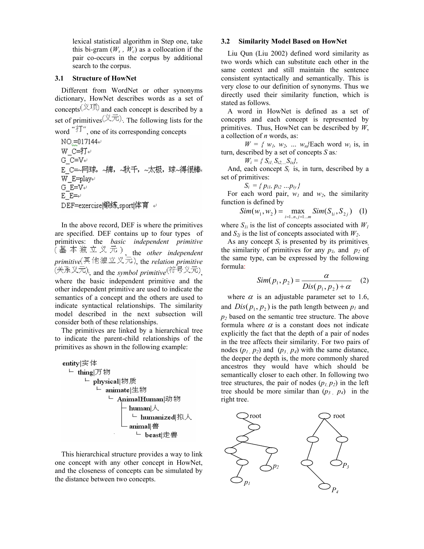lexical statistical algorithm in Step one, take this bi-gram  $(W_s, W_c)$  as a collocation if the pair co-occurs in the corpus by additional search to the corpus.

### **3.1 Structure of HowNet**

Different from WordNet or other synonyms dictionary, HowNet describes words as a set of concepts  $(\forall \exists \exists)$  and each concept is described by a set of primitives  $(\&\overrightarrow{x})$ . The following lists for the word " $\overleftrightarrow{\mathbb{J}}$ ", one of its corresponding concepts

NO.=017144₽ W C=打↩  $G$   $C=V+$ E C=~网球,~牌,~秋千,~太极,球~得很棒。 W E=play+  $G$  $E=V+$ E E= $\leftrightarrow$ DEF=exercise|锻练,sport|体育 ↩

In the above record, DEF is where the primitives are specified. DEF contains up to four types of primitives: the *basic independent primitive* , the *other independent primitive*(具忚独立义元), the *relation primitive* (关系义元), and the *symbol primitive* (符号义元)<sub>,</sub> where the basic independent primitive and the other independent primitive are used to indicate the semantics of a concept and the others are used to indicate syntactical relationships. The similarity model described in the next subsection will consider both of these relationships.

The primitives are linked by a hierarchical tree to indicate the parent-child relationships of the primitives as shown in the following example:

entity|
$$
\tilde{\mathbb{X}}
$$
  $\vdash$   $\text{thing}|\overline{\mathcal{I}}$   $\mathcal{W}$ \n– physical| $\mathcal{W}$   $\mathcal{F}$ \n– animalHuman| $\ddagger$   $\mathcal{W}$ \n– AnimalHuman| $\mathcal{W}$ 

\n– human| $\mathcal{A}$ 

\n– humanized| $\mathcal{H}$   $\vdash$   $\mathcal{W}$ \n– animal| $\triangle$   $\vdash$   $\mathcal{W}$ \n– 2

\n– 4

\n– 4

\n– 5

\n– 6

\n– 6

\n– 7

\n– 7

\n– 8

\n– 8

\n– 1

\n– 6

\n– 7

\n– 8

\n– 1

\n– 6

\n– 7

\n– 7

\n– 8

\n– 8

\n– 1

\n– 1

\n– 6

\n– 1

\n– 6

\n– 1

\n– 6

\n– 7

\n– 7

\n– 7

\n– 8

\n– 6

\n– 7

\n– 7

\n– 8

\n– 7

\n– 8

\n– 8

\n– 8

\n– 8

\n– 8

\n– 8

\n– 9

\n– 9

\n– 1

\n– 1

\n– 1

\n– 1

\n– 1

\n– 1

\n– 1

\n– 1

\n– 1

\n– 1

\n– 1

\n– 1

\n– 1

\n– 1

\n– 1

\n– 1

\n– 1

This hierarchical structure provides a way to link one concept with any other concept in HowNet, and the closeness of concepts can be simulated by the distance between two concepts.

## **3.2 Similarity Model Based on HowNet**

Liu Qun (Liu 2002) defined word similarity as two words which can substitute each other in the same context and still maintain the sentence consistent syntactically and semantically. This is very close to our definition of synonyms. Thus we directly used their similarity function, which is stated as follows.

A word in HowNet is defined as a set of concepts and each concept is represented by primitives. Thus, HowNet can be described by *W*, a collection of *n* words, as:

 $W = \{ w_1, w_2, \dots, w_n \}$ Each word  $w_i$  is, in turn, described by a set of concepts *S* as*:* 

$$
W_i = \{ S_{i1}, S_{i2}, \ldots S_{ix} \},
$$

And, each concept  $S_i$  is, in turn, described by a set of primitives:

 $S_i = \{ p_{i1}, p_{i2} ... p_{iy} \}$ 

For each word pair,  $w_1$  and  $w_2$ , the similarity function is defined by

$$
Sim(w_1, w_2) = \max_{i=1..n, j=1..m} Sim(S_{1i}, S_{2j})
$$
 (1)

where  $S_{1i}$  is the list of concepts associated with  $W_1$ and  $S_{2i}$  is the list of concepts associated with  $W_2$ .

As any concept  $S_i$  is presented by its primitives, the similarity of primitives for any  $p_l$ , and  $p_2$  of the same type, can be expressed by the following formula:

$$
Sim(p_1, p_2) = \frac{\alpha}{Dis(p_1, p_2) + \alpha} \quad (2)
$$

where  $\alpha$  is an adjustable parameter set to 1.6, and  $Dis(p_1, p_2)$  is the path length between  $p_1$  and  $p_2$  based on the semantic tree structure. The above formula where  $\alpha$  is a constant does not indicate explicitly the fact that the depth of a pair of nodes in the tree affects their similarity. For two pairs of nodes  $(p_1, p_2)$  and  $(p_3, p_4)$  with the same distance, the deeper the depth is, the more commonly shared ancestros they would have which should be semantically closer to each other. In following two tree structures, the pair of nodes  $(p_l, p_2)$  in the left tree should be more similar than  $(p_3, p_4)$  in the right tree.

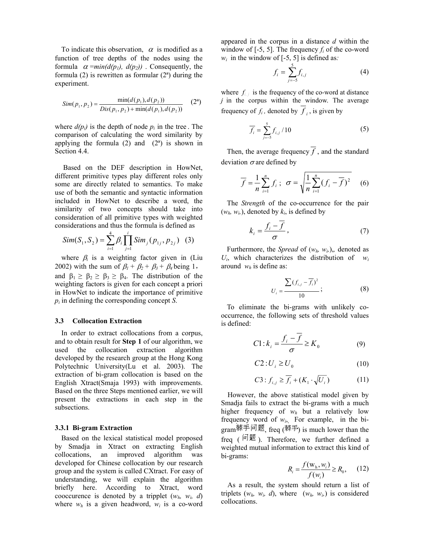To indicate this observation,  $\alpha$  is modified as a function of tree depths of the nodes using the formula  $\alpha = min(d(p_1), d(p_2))$ . Consequently, the formula  $(2)$  is rewritten as formular  $(2<sup>a</sup>)$  during the experiment.

$$
Sim(p_1, p_2) = \frac{\min(d(p_1), d(p_2))}{Dis(p_1, p_2) + \min(d(p_1), d(p_2))}
$$
 (2<sup>a</sup>)

where  $d(p_i)$  is the depth of node  $p_i$  in the tree. The comparison of calculating the word similarity by applying the formula  $(2)$  and  $(2<sup>a</sup>)$  is shown in Section 4.4.

 Based on the DEF description in HowNet, different primitive types play different roles only some are directly related to semantics. To make use of both the semantic and syntactic information included in HowNet to describe a word, the similarity of two concepts should take into consideration of all primitive types with weighted considerations and thus the formula is defined as

$$
Sim(S_1, S_2) = \sum_{i=1}^{4} \beta_i \prod_{j=1}^{i} Sim_j(p_{1j}, p_{2j})
$$
 (3)

where  $\beta_i$  is a weighting factor given in (Liu 2002) with the sum of  $\beta_1 + \beta_2 + \beta_3 + \beta_4$  being 1, and  $\beta_1 \geq \beta_2 \geq \beta_3 \geq \beta_4$ . The distribution of the weighting factors is given for each concept a priori in HowNet to indicate the importance of primitive *pi* in defining the corresponding concept *S*.

### **3.3 Collocation Extraction**

In order to extract collocations from a corpus, and to obtain result for **Step 1** of our algorithm, we used the collocation extraction algorithm developed by the research group at the Hong Kong Polytechnic University(Lu et al. 2003). The extraction of bi-gram collocation is based on the English Xtract(Smaja 1993) with improvements. Based on the three Steps mentioned earlier, we will present the extractions in each step in the subsections.

#### **3.3.1 Bi-gram Extraction**

Based on the lexical statistical model proposed by Smadja in Xtract on extracting English collocations, an improved algorithm was developed for Chinese collocation by our research group and the system is called CXtract. For easy of understanding, we will explain the algorithm briefly here. According to Xtract, word cooccurence is denoted by a tripplet  $(w_h, w_i, d)$ where  $w_h$  is a given headword,  $w_i$  is a co-word appeared in the corpus in a distance *d* within the window of  $[-5, 5]$ . The frequency  $f_i$  of the co-word  $w_i$  in the window of  $[-5, 5]$  is defined as:

$$
f_i = \sum_{j=-5}^{5} f_{i,j}
$$
 (4)

where  $f_{i,j}$  is the frequency of the co-word at distance *j* in the corpus within the window. The average frequency of  $f_i$ , denoted by  $\overline{f}_i$ , is given by

$$
\overline{f_i} = \sum_{j=-5}^{5} f_{i,j} / 10
$$
 (5)

Then, the average frequency  $\overline{f}$ , and the standard deviation  $\sigma$  are defined by

$$
\overline{f} = \frac{1}{n} \sum_{i=1}^{n} f_i \; ; \; \sigma = \sqrt{\frac{1}{n} \sum_{i=1}^{n} (f_i - \overline{f})^2} \quad (6)
$$

The *Strength* of the co-occurrence for the pair  $(w_h, w_i)$ , denoted by  $k_i$ , is defined by

$$
k_i = \frac{f_i - \overline{f}}{\sigma},\tag{7}
$$

Furthermore, the *Spread* of (*wh, wi,*),*,* denoted as  $U_i$ , which characterizes the distribution of  $W_i$ around  $w_h$  is define as:

$$
U_i = \frac{\sum (f_{i,j} - \overline{f_i})^2}{10};
$$
 (8)

To eliminate the bi-grams with unlikely cooccurrence, the following sets of threshold values is defined:

$$
C1: k_i = \frac{f_i - \overline{f}}{\sigma} \ge K_0 \tag{9}
$$

$$
C2:U_i \ge U_0 \tag{10}
$$

$$
C3: f_{i,j} \ge \overline{f_i} + (K_1 \cdot \sqrt{U_i}) \tag{11}
$$

However, the above statistical model given by Smadja fails to extract the bi-grams with a much higher frequency of *wh* but a relatively low frequency word of  $w_{i}$ , For example, in the bigram棘手问题, freq (棘手) is much lower than the freq  $(\Box \overline{\Box} \overline{\Box} \overline{\Box})$ . Therefore, we further defined a weighted mutual information to extract this kind of bi-grams:

$$
R_i = \frac{f(w_h, w_i)}{f(w_i)} \ge R_0, \qquad (12)
$$

As a result, the system should return a list of triplets  $(w_h, w_h, d)$ , where  $(w_h, w_h)$  is considered collocations.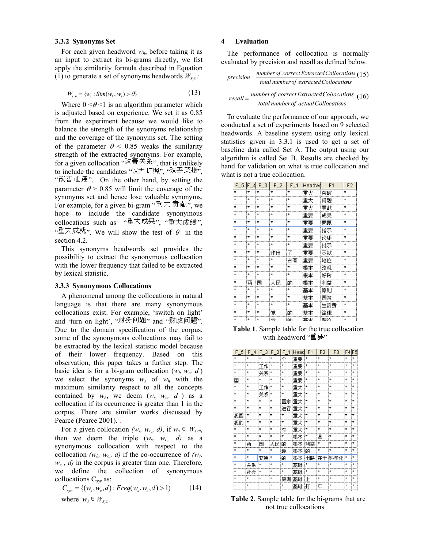#### **3.3.2 Synonyms Set**

For each given headword *wh*, before taking it as an input to extract its bi-grams directly, we fist apply the similarity formula described in Equation (1) to generate a set of synonyms headwords  $W_{syn}$ :

$$
W_{syn} = \{w_s : Sim(w_h, w_s) > \theta\}
$$
 (13)

Where  $0 < \theta < 1$  is an algorithm parameter which is adjusted based on experience. We set it as 0.85 from the experiment because we would like to balance the strength of the synonyms relationship and the coverage of the synonyms set. The setting of the parameter  $\theta$  < 0.85 weaks the similarity strength of the extracted synonyms. For example, for a given collocation " $\mathbb{R}^{\mathbb{R}} \ddot{\mathbb{R}}$ ", that is unlikely to include the candidates "改善护照", "改善契据", "改善通连". On the other hand, by setting the parameter  $\theta$  > 0.85 will limit the coverage of the synonyms set and hence lose valuable synonyms. For example, for a given bi-gram " $\mathbb{E} \times \overline{\mathbb{E}}$   $\mathbb{R}$ ", we hope to include the candidate synonymous collocations such as "重大成果", "重大成绩", "重大成就" We will show the test of  $θ$  in the section 4.2.

This synonyms headwords set provides the possibility to extract the synonymous collocation with the lower frequency that failed to be extracted by lexical statistic.

## **3.3.3 Synonymous Collocations**

A phenomenal among the collocations in natural language is that there are many synonymous collocations exist. For example, 'switch on light' and 'turn on light', "财务问题" and "财政问题". Due to the domain specification of the corpus, some of the synonymous collocations may fail to be extracted by the lexical statistic model because of their lower frequency. Based on this observation, this paper takes a further step. The basic idea is for a bi-gram collocation  $(w_h, w_c, d)$ we select the synonyms  $w_s$  of  $w_h$  with the maximum similarity respect to all the concepts contained by  $w_h$ , we deem  $(w_{s, w_c, d})$  as a collocation if its occurrence is greater than 1 in the corpus. There are similar works discussed by Pearce (Pearce 2001). .

For a given collocation  $(w_s, w_c, d)$ , if  $w_s \in W_{syn}$ , then we deem the triple  $(w_s, w_c, d)$  as a synonymous collocation with respect to the collocation  $(w_h, w_c, d)$  if the co-occurrence of  $(w_s, d)$  $w_c$ , *d*) in the corpus is greater than one. Therefore, we define the collection of synonymous collocations  $C_{syn}$  as:

$$
C_{syn} = \{ (w_s, w_c, d) : Freq(w_s, w_c, d) > 1 \}
$$
 (14)  
where  $w_s \in W_{syn}$ .

### **4 Evaluation**

The performance of collocation is normally evaluated by precision and recall as defined below.

$$
precision = \frac{number\ of\ correct\ Extracted\ Collocations}{total\ number\ of\ extracted\ Collocations}
$$
\n
$$
recall = \frac{number\ of\ correct\ Extracted\ Collocations}{total\ number\ of\ actual\ Collocations}
$$
\n(16)

To evaluate the performance of our approach, we conducted a set of experiments based on 9 selected headwords. A baseline system using only lexical statistics given in 3.3.1 is used to get a set of baseline data called Set A. The output using our algorithm is called Set B. Results are checked by hand for validation on what is true collocation and what is not a true collocation.

| F 5     | F       | F <sub>3</sub> | F 2     | $F_1$   | lHeadwd   | F <sub>1</sub> | F <sub>2</sub> |
|---------|---------|----------------|---------|---------|-----------|----------------|----------------|
| $\star$ | $\star$ | $\star$        | $\star$ | $\star$ | 重大        | 突破             | $\star$        |
| ÷       | ÷       | $\star$        | $\star$ | $\star$ | 重大        | 问题             | ÷              |
| ÷       | $\star$ | $\star$        | $\star$ | ÷       | 重大        | 青獻             | ÷              |
| ÷       | $\star$ | $\star$        | $\star$ | ÷       | 重要        | 成果             | $\star$        |
| $\star$ | ÷       | $\star$        | $\star$ | $\star$ | 軍軍        | 問題             | $\star$        |
| $\star$ | $\star$ | $\star$        | $\star$ | $\star$ | 重要        | 指示             | $\star$        |
| ÷       | $\star$ | $\star$        | $\star$ | $\star$ | 重要        | 论述             | $\star$        |
| $\star$ | $\star$ | $\star$        | ÷       | $\star$ | 軍軍        | 批示             | $\star$        |
| $\star$ | $\star$ | $\star$        | 作出      | 7       | 重要        | 贡献             | ÷              |
| $\star$ | $\star$ | ÷              | ÷       | 占有      | 軍軍        | 地位             | ÷              |
| $\star$ | $\star$ | ÷              | $\star$ | $\star$ | 根本        | 改观             | ÷              |
| $\star$ | $\star$ | ÷              | $\star$ | $\star$ | 根本        | 好转             | $\star$        |
| $\star$ | 两       | 国              | 人民      | 的       | 根本        | 利益             | $\star$        |
| $\star$ | $\star$ | ÷              | $\star$ | $\star$ | 基本        | 原则             | $\star$        |
| $\star$ | $\star$ | ÷              | $\star$ | $\star$ | 基本        | 国策             | $\star$        |
| $\star$ | $\star$ | ÷              | $\star$ | $\star$ | 基本        | 生活费            | ÷              |
| $\star$ | ÷       | ÷              | 党       | 的       | 基本        | 路线             | ÷              |
| ÷       | ÷       | ÷              | 帶       | ńл      | <b>#*</b> | 押令             | ÷              |

**Table 1**. Sample table for the true collocation with headword " $\mathbb{E} \overline{\mathbb{F}}$ "

| F 5     | $\boldsymbol{4}$<br>F | F <sub>3</sub> | 2<br>F. | F       | Head | F <sub>1</sub> | F <sub>2</sub> | F3      |   | F4IF5   |
|---------|-----------------------|----------------|---------|---------|------|----------------|----------------|---------|---|---------|
| $\star$ | $\star$               | $\star$        | ÷       | 个       | 軍事   | $\star$        | ÷              | $\star$ | ÷ | $\star$ |
| $\star$ | $\star$               | 工作 *           |         | ÷       | 軍事   | ÷              | ÷              | $\star$ | ÷ | $\star$ |
| ÷       | $\star$               | 关系 *           |         | ÷       | 重要   | ÷              | $\star$        | ÷       | ÷ | $\star$ |
| 国       | ÷                     | ÷              | ÷       | ÷       | 重要   | *              | ÷              | ÷       | ÷ | ÷       |
| ÷       | ÷                     | 工作             | ļ∗      | $\star$ | 雷大   | ÷:             | ÷              | ÷       | ÷ | ÷       |
| $\star$ | $\star$               | 关系             | ļ∗      | ÷       | 軍大   | ¦∗             | ÷              | ÷       | ÷ | ÷       |
| ÷       | ÷                     | $\star$        | ÷       | 国家      | 軍大   | ÷              | ÷              | ÷       | ÷ | ÷       |
| $\star$ | ÷                     | $\star$        | ÷       | 进行      | 軍大   | ÷:             | ÷              | $\star$ | ÷ | ÷       |
| 我国      | $\star$               | $\star$        | ÷       | $\star$ | 重大   | ¦∗             | ÷              | $\star$ | ÷ | $\star$ |
| 我们      | ÷                     | ÷              | ÷       | ÷       | 重大   | $\star$        | ÷              | ÷       | ÷ | ÷       |
| ÷       | ÷                     | ÷              | ÷       | 有       | 軍大   | $\star$        | ÷              | ÷       | ÷ | ÷       |
| ÷       | ÷                     | ÷              | ÷       | ÷       | 根本   | $\star$        | 是              | ÷       | ÷ | ÷       |
| $\star$ | 两                     | 国              | 人民      | 的       | 根本   | 利益             | $\star$        | ÷       | ÷ | $\star$ |
| $\star$ | $\star$               | ÷              | $\star$ | 最       | 根本   | 的              | $\star$        | ÷       | ÷ | $\star$ |
| $\star$ | $\star$               | 交通             | $\star$ | 的       | 根本   | 出路             | 在于             | 科学化     | ÷ | $\star$ |
| $\star$ | 关系                    | $\star$        | $\star$ | ¥       | 基础   | $\star$        | $\star$        | $\star$ | ÷ | $\star$ |
| ÷       | 社会                    | ÷∗             | ÷       | $\star$ | 基础   | $\star$        | ÷              | ÷       | ÷ | $\star$ |
| $\star$ | ÷                     | ÷              | ÷       | 原则      | 基础   | $\vdash$       | ÷              | ÷       | ÷ | ÷       |
| $\star$ | ÷                     | $\star$        | ÷       | ÷       | 基础   | 打              | 牢              | $\star$ | ÷ | ÷       |

**Table 2**. Sample table for the bi-grams that are not true collocations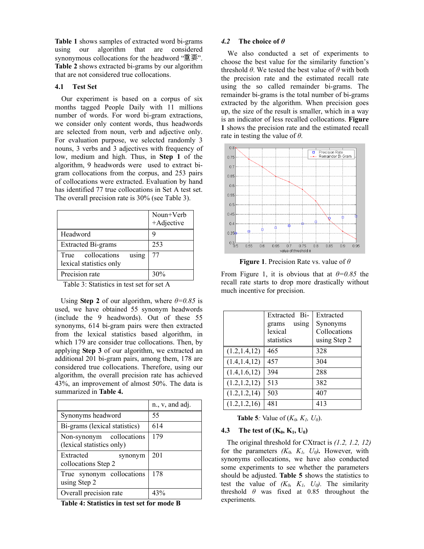**Table 1** shows samples of extracted word bi-grams using our algorithm that are considered synonymous collocations for the headword " $\mathbb{E} \mathbb{E}$ ". **Table 2** shows extracted bi-grams by our algorithm that are not considered true collocations.

### **4.1 Test Set**

Our experiment is based on a corpus of six months tagged People Daily with 11 millions number of words. For word bi-gram extractions, we consider only content words, thus headwords are selected from noun, verb and adjective only. For evaluation purpose, we selected randomly 3 nouns, 3 verbs and 3 adjectives with frequency of low, medium and high. Thus, in **Step 1** of the algorithm, 9 headwords were used to extract bigram collocations from the corpus, and 253 pairs of collocations were extracted. Evaluation by hand has identified 77 true collocations in Set A test set. The overall precision rate is 30% (see Table 3).

|                                                       | Noun+Verb<br>+Adjective |
|-------------------------------------------------------|-------------------------|
| Headword                                              |                         |
| <b>Extracted Bi-grams</b>                             | 253                     |
| True collocations<br>using<br>lexical statistics only | 77                      |
| Precision rate                                        | 30%                     |

Table 3: Statistics in test set for set A

Using **Step 2** of our algorithm, where  $\theta = 0.85$  is used, we have obtained 55 synonym headwords (include the 9 headwords). Out of these 55 synonyms, 614 bi-gram pairs were then extracted from the lexical statistics based algorithm, in which 179 are consider true collocations. Then, by applying **Step 3** of our algorithm, we extracted an additional 201 bi-gram pairs, among them, 178 are considered true collocations. Therefore, using our algorithm, the overall precision rate has achieved 43%, an improvement of almost 50%. The data is summarized in **Table 4.** 

|                                                       | $n_{\cdot}$ , v, and adj. |
|-------------------------------------------------------|---------------------------|
| Synonyms headword                                     | 55                        |
| Bi-grams (lexical statistics)                         | 614                       |
| Non-synonym collocations<br>(lexical statistics only) | 179                       |
| Extracted<br>synonym<br>collocations Step 2           | 201                       |
| True synonym collocations<br>using Step 2             | 178                       |
| Overall precision rate                                | 43%                       |

**Table 4: Statistics in test set for mode B** 

## *4.2* **The choice of** *θ*

We also conducted a set of experiments to choose the best value for the similarity function's threshold *θ*. We tested the best value of *θ* with both the precision rate and the estimated recall rate using the so called remainder bi-grams. The remainder bi-grams is the total number of bi-grams extracted by the algorithm. When precision goes up, the size of the result is smaller, which in a way is an indicator of less recalled collocations. **Figure 1** shows the precision rate and the estimated recall rate in testing the value of *θ*.



**Figure 1**. Precision Rate vs. value of *θ*

From Figure 1, it is obvious that at *θ=0.85* the recall rate starts to drop more drastically without much incentive for precision.

|                | Extracted Bi-<br>using<br>grams<br>lexical<br>statistics | Extracted<br>Synonyms<br>Collocations<br>using Step 2 |
|----------------|----------------------------------------------------------|-------------------------------------------------------|
| (1.2, 1.4, 12) | 465                                                      | 328                                                   |
| (1.4, 1.4, 12) | 457                                                      | 304                                                   |
| (1.4, 1.6, 12) | 394                                                      | 288                                                   |
| (1.2, 1.2, 12) | 513                                                      | 382                                                   |
| (1.2, 1.2, 14) | 503                                                      | 407                                                   |
| (1.2, 1.2, 16) | 481                                                      | 413                                                   |

**Table 5***:* Value of  $(K_0, K_1, U_0)$ .

## **4.3 The test of**  $(K_0, K_1, U_0)$

The original threshold for CXtract is *(1.2, 1.2, 12)*  for the parameters  $(K_0, K_1, U_0)$ *.* However, with synonyms collocations, we have also conducted some experiments to see whether the parameters should be adjusted. **Table 5** shows the statistics to test the value of  $(K_0, K_1, U_0)$ . The similarity threshold *θ* was fixed at 0.85 throughout the experiments*.*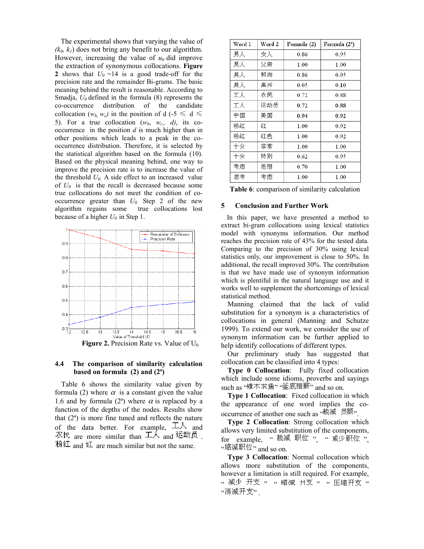The experimental shows that varying the value of  $(k_0, k_1)$  does not bring any benefit to our algorithm. However, increasing the value of  $u_0$  did improve the extraction of synonymous collocations. **Figure 2** shows that  $U_0 = 14$  is a good trade-off for the precision rate and the remainder Bi-grams. The basic meaning behind the result is reasonable. According to Smadja,  $U_0$  defined in the formula (8) represents the co-occurrence distribution of the candidate collocation ( $w_h$ ,  $w_c$ ) in the position of d (-5  $\le d \le$ 5). For a true collocation  $(w_h, w_c, d)$ , its cooccurrence in the position *d* is much higher than in other positions which leads to a peak in the cooccurrence distribution. Therefore, it is selected by the statistical algorithm based on the formula (10). Based on the physical meaning behind, one way to improve the precision rate is to increase the value of the threshold  $U_0$ . A side effect to an increased value of  $U_0$  is that the recall is decreased because some true collocations do not meet the condition of cooccurrence greater than  $U_0$  Step 2 of the new algorithm regains some true collocations lost because of a higher *U0.* in Step 1.



## **4.4 The comparison of similarity calculation based on formula (2) and (2ª)**

Table 6 shows the similarity value given by formula (2) where  $\alpha$  is a constant given the value 1.6 and by formula ( $2<sup>a</sup>$ ) where  $\alpha$  is replaced by a function of the depths of the nodes. Results show that  $(2<sup>a</sup>)$  is more fine tuned and reflects the nature of the data better. For example,  $\mathbb{Z}\wedge$  and 农民 are more similar than 工人 and 运动员 粉红 and 红 are much similar but not the same.

| Word 1 | Word 2 | Formula (2) | Formula $(2^a)$ |
|--------|--------|-------------|-----------------|
| 男人     | 女人     | 0.86        | 0.95            |
| 男人     | 父亲     | 1.00        | 1.00            |
| 男人     | 和尚     | 0.86        | 0.95            |
| 男人     | 高兴     | 0.05        | 0.10            |
| 工人     | 农民     | 0.72        | 0.88            |
| 工人     | 运动员    | 0.72        | 0.88            |
| 中国     | 美国     | 0.94        | 0.92            |
| 粉红     | 红      | 1.00        | 0.92            |
| 粉红     | 红色     | 1.00        | 0.92            |
| 十分     | 非常     | 1.00        | 1.00            |
| 十分     | 特別     | 0.62        | 0.95            |
| 考虑     | 思想     | 0.70        | 1.00            |
| 思考     | 考虑     | 1.00        | 1.00            |

**Table 6**: comparison of similarity calculation

#### **5 Conclusion and Further Work**

In this paper, we have presented a method to extract bi-gram collocations using lexical statistics model with synonyms information. Our method reaches the precision rate of 43% for the tested data. Comparing to the precision of 30% using lexical statistics only, our improvement is close to 50%. In additional, the recall improved 30%. The contribution is that we have made use of synonym information which is plentiful in the natural language use and it works well to supplement the shortcomings of lexical statistical method.

Manning claimed that the lack of valid substitution for a synonym is a characteristics of collocations in general (Manning and Schutze 1999). To extend our work, we consider the use of synonym information can be further applied to help identify collocations of different types.

Our preliminary study has suggested that collocation can be classified into 4 types:

**Type 0 Collocation**: Fully fixed collocation which include some idioms, proverbs and sayings such as  $\cdot$  '缘木求鱼''  $\cdot$  "釜底抽薪" and so on.

**Type 1 Collocation**: Fixed collocation in which the appearance of one word implies the cooccurrence of another one such as  $\cdot$ 裁减 员额

**Type 2 Collocation**: Strong collocation which allows very limited substitution of the components, for example, " 裁减 职位 ", " 减少职位 ",  $\cdot$ 缩减职位" and so on.

**Type 3 Collocation**: Normal collocation which allows more substitution of the components, however a limitation is still required. For example, " 减少 开支 <sub>"</sub> " 缩减 开支 " " 压缩开支 " "消减开支"